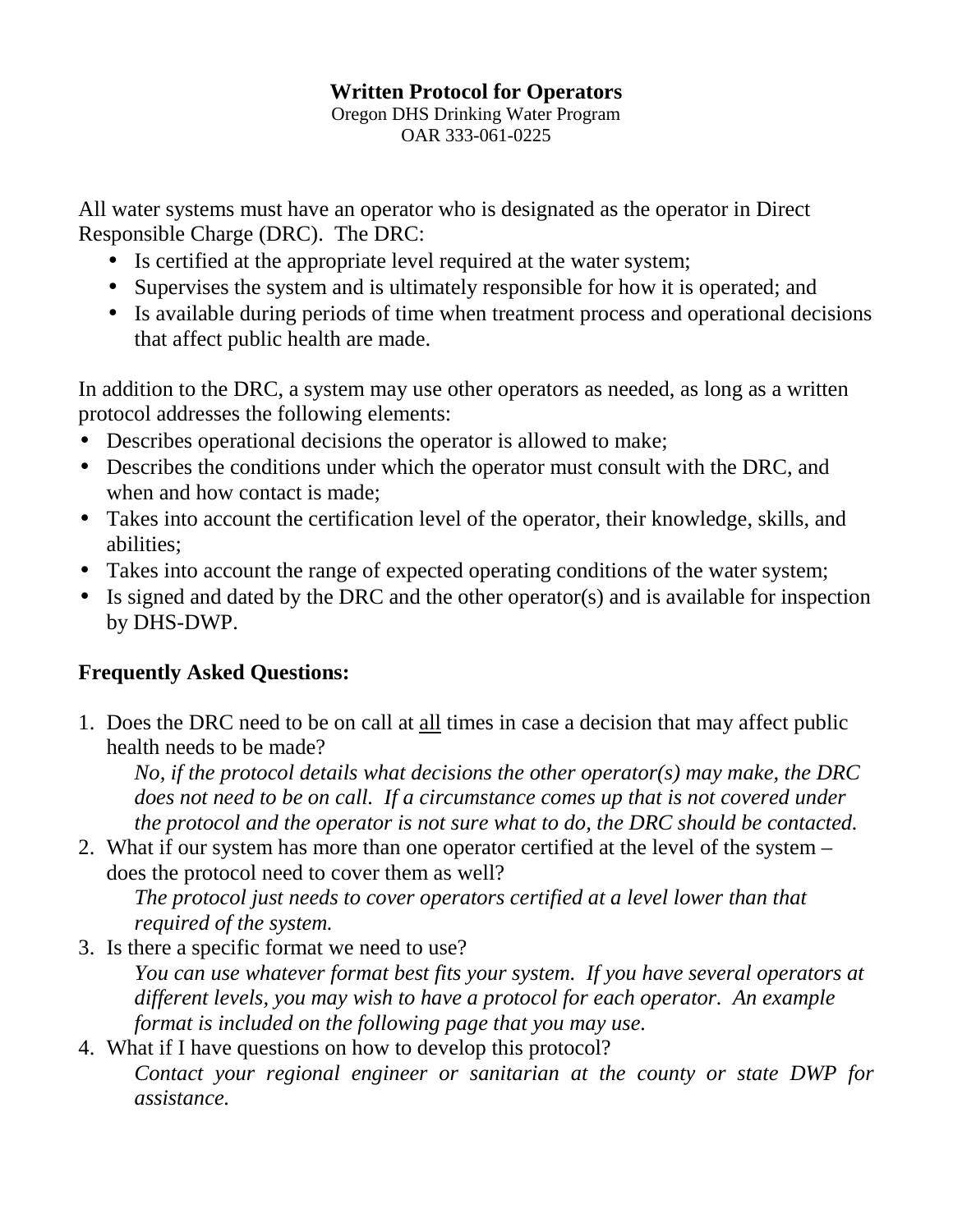# **Written Protocol for Operators**

Oregon DHS Drinking Water Program OAR 333-061-0225

All water systems must have an operator who is designated as the operator in Direct Responsible Charge (DRC). The DRC:

- Is certified at the appropriate level required at the water system;
- Supervises the system and is ultimately responsible for how it is operated; and
- Is available during periods of time when treatment process and operational decisions that affect public health are made.

In addition to the DRC, a system may use other operators as needed, as long as a written protocol addresses the following elements:

- Describes operational decisions the operator is allowed to make;
- Describes the conditions under which the operator must consult with the DRC, and when and how contact is made;
- Takes into account the certification level of the operator, their knowledge, skills, and abilities;
- Takes into account the range of expected operating conditions of the water system;
- Is signed and dated by the DRC and the other operator(s) and is available for inspection by DHS-DWP.

## **Frequently Asked Questions:**

1. Does the DRC need to be on call at all times in case a decision that may affect public health needs to be made?

*No, if the protocol details what decisions the other operator(s) may make, the DRC does not need to be on call. If a circumstance comes up that is not covered under the protocol and the operator is not sure what to do, the DRC should be contacted.* 

2. What if our system has more than one operator certified at the level of the system – does the protocol need to cover them as well?

*The protocol just needs to cover operators certified at a level lower than that required of the system.* 

3. Is there a specific format we need to use?

*You can use whatever format best fits your system. If you have several operators at different levels, you may wish to have a protocol for each operator. An example format is included on the following page that you may use.* 

4. What if I have questions on how to develop this protocol? *Contact your regional engineer or sanitarian at the county or state DWP for assistance.*